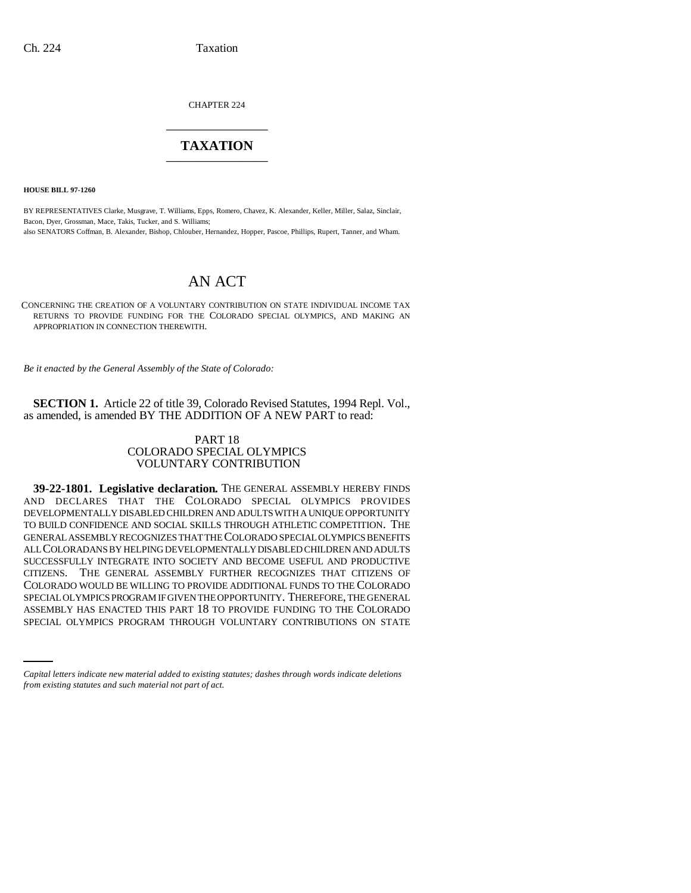CHAPTER 224 \_\_\_\_\_\_\_\_\_\_\_\_\_\_\_

## **TAXATION** \_\_\_\_\_\_\_\_\_\_\_\_\_\_\_

**HOUSE BILL 97-1260**

BY REPRESENTATIVES Clarke, Musgrave, T. Williams, Epps, Romero, Chavez, K. Alexander, Keller, Miller, Salaz, Sinclair, Bacon, Dyer, Grossman, Mace, Takis, Tucker, and S. Williams; also SENATORS Coffman, B. Alexander, Bishop, Chlouber, Hernandez, Hopper, Pascoe, Phillips, Rupert, Tanner, and Wham.

## AN ACT

CONCERNING THE CREATION OF A VOLUNTARY CONTRIBUTION ON STATE INDIVIDUAL INCOME TAX RETURNS TO PROVIDE FUNDING FOR THE COLORADO SPECIAL OLYMPICS, AND MAKING AN APPROPRIATION IN CONNECTION THEREWITH.

*Be it enacted by the General Assembly of the State of Colorado:*

**SECTION 1.** Article 22 of title 39, Colorado Revised Statutes, 1994 Repl. Vol., as amended, is amended BY THE ADDITION OF A NEW PART to read:

## PART 18 COLORADO SPECIAL OLYMPICS VOLUNTARY CONTRIBUTION

SPECIAL OLYMPICS PROGRAM IF GIVEN THE OPPORTUNITY. THEREFORE, THE GENERAL<br>ASSEMBLY HAS ENACTED THIS PART 18 TO PROVIDE FUNDING TO THE COLORADO **39-22-1801. Legislative declaration.** THE GENERAL ASSEMBLY HEREBY FINDS AND DECLARES THAT THE COLORADO SPECIAL OLYMPICS PROVIDES DEVELOPMENTALLY DISABLED CHILDREN AND ADULTS WITH A UNIQUE OPPORTUNITY TO BUILD CONFIDENCE AND SOCIAL SKILLS THROUGH ATHLETIC COMPETITION. THE GENERAL ASSEMBLY RECOGNIZES THAT THE COLORADO SPECIAL OLYMPICS BENEFITS ALL COLORADANS BY HELPING DEVELOPMENTALLY DISABLED CHILDREN AND ADULTS SUCCESSFULLY INTEGRATE INTO SOCIETY AND BECOME USEFUL AND PRODUCTIVE CITIZENS. THE GENERAL ASSEMBLY FURTHER RECOGNIZES THAT CITIZENS OF COLORADO WOULD BE WILLING TO PROVIDE ADDITIONAL FUNDS TO THE COLORADO SPECIAL OLYMPICS PROGRAM IF GIVEN THE OPPORTUNITY. THEREFORE, THE GENERAL SPECIAL OLYMPICS PROGRAM THROUGH VOLUNTARY CONTRIBUTIONS ON STATE

*Capital letters indicate new material added to existing statutes; dashes through words indicate deletions from existing statutes and such material not part of act.*